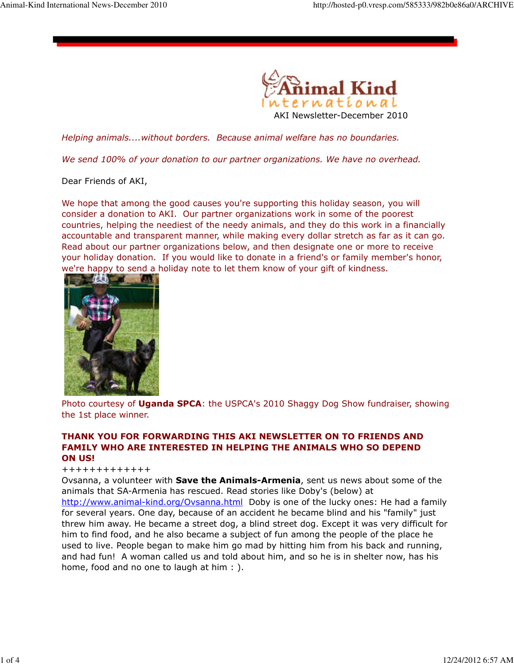

Helping animals....without borders. Because animal welfare has no boundaries.

We send 100% of your donation to our partner organizations. We have no overhead.

Dear Friends of AKI,

We hope that among the good causes you're supporting this holiday season, you will consider a donation to AKI. Our partner organizations work in some of the poorest countries, helping the neediest of the needy animals, and they do this work in a financially accountable and transparent manner, while making every dollar stretch as far as it can go. Read about our partner organizations below, and then designate one or more to receive your holiday donation. If you would like to donate in a friend's or family member's honor, we're happy to send a holiday note to let them know of your gift of kindness.



Photo courtesy of Uganda SPCA: the USPCA's 2010 Shaggy Dog Show fundraiser, showing the 1st place winner.

## THANK YOU FOR FORWARDING THIS AKI NEWSLETTER ON TO FRIENDS AND FAMILY WHO ARE INTERESTED IN HELPING THE ANIMALS WHO SO DEPEND ON US!

+++++++++++++

Ovsanna, a volunteer with **Save the Animals-Armenia**, sent us news about some of the animals that SA-Armenia has rescued. Read stories like Doby's (below) at http://www.animal-kind.org/Ovsanna.html Doby is one of the lucky ones: He had a family for several years. One day, because of an accident he became blind and his "family" just threw him away. He became a street dog, a blind street dog. Except it was very difficult for him to find food, and he also became a subject of fun among the people of the place he used to live. People began to make him go mad by hitting him from his back and running, and had fun! A woman called us and told about him, and so he is in shelter now, has his home, food and no one to laugh at him : ).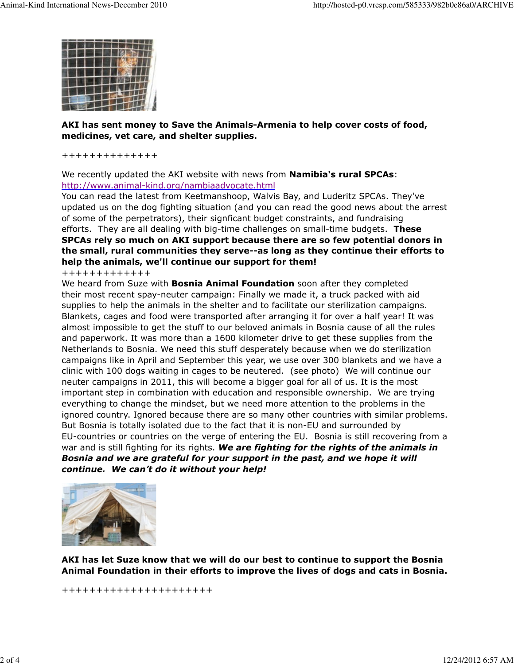

## AKI has sent money to Save the Animals-Armenia to help cover costs of food, medicines, vet care, and shelter supplies.

++++++++++++++

We recently updated the AKI website with news from **Namibia's rural SPCAs**: http://www.animal-kind.org/nambiaadvocate.html

You can read the latest from Keetmanshoop, Walvis Bay, and Luderitz SPCAs. They've updated us on the dog fighting situation (and you can read the good news about the arrest of some of the perpetrators), their signficant budget constraints, and fundraising efforts. They are all dealing with big-time challenges on small-time budgets. These SPCAs rely so much on AKI support because there are so few potential donors in the small, rural communities they serve--as long as they continue their efforts to help the animals, we'll continue our support for them!

+++++++++++++

We heard from Suze with **Bosnia Animal Foundation** soon after they completed their most recent spay-neuter campaign: Finally we made it, a truck packed with aid supplies to help the animals in the shelter and to facilitate our sterilization campaigns. Blankets, cages and food were transported after arranging it for over a half year! It was almost impossible to get the stuff to our beloved animals in Bosnia cause of all the rules and paperwork. It was more than a 1600 kilometer drive to get these supplies from the Netherlands to Bosnia. We need this stuff desperately because when we do sterilization campaigns like in April and September this year, we use over 300 blankets and we have a clinic with 100 dogs waiting in cages to be neutered. (see photo) We will continue our neuter campaigns in 2011, this will become a bigger goal for all of us. It is the most important step in combination with education and responsible ownership. We are trying everything to change the mindset, but we need more attention to the problems in the ignored country. Ignored because there are so many other countries with similar problems. But Bosnia is totally isolated due to the fact that it is non-EU and surrounded by EU-countries or countries on the verge of entering the EU. Bosnia is still recovering from a war and is still fighting for its rights. We are fighting for the rights of the animals in Bosnia and we are grateful for your support in the past, and we hope it will continue. We can't do it without your help!



AKI has let Suze know that we will do our best to continue to support the Bosnia Animal Foundation in their efforts to improve the lives of dogs and cats in Bosnia.

++++++++++++++++++++++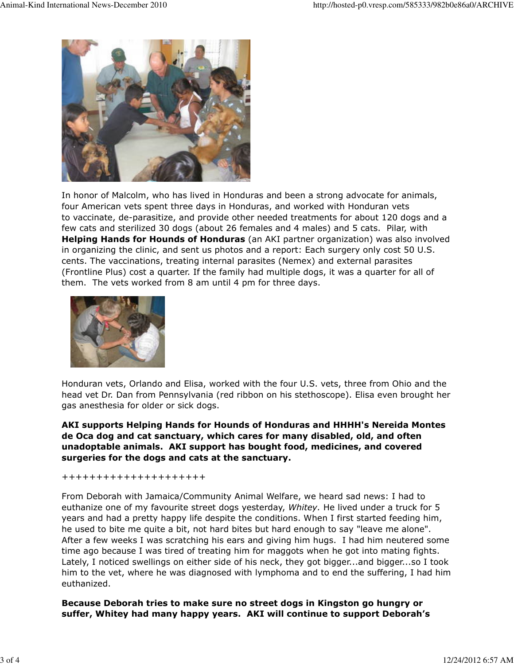

In honor of Malcolm, who has lived in Honduras and been a strong advocate for animals, four American vets spent three days in Honduras, and worked with Honduran vets to vaccinate, de-parasitize, and provide other needed treatments for about 120 dogs and a few cats and sterilized 30 dogs (about 26 females and 4 males) and 5 cats. Pilar, with **Helping Hands for Hounds of Honduras** (an AKI partner organization) was also involved in organizing the clinic, and sent us photos and a report: Each surgery only cost 50 U.S. cents. The vaccinations, treating internal parasites (Nemex) and external parasites (Frontline Plus) cost a quarter. If the family had multiple dogs, it was a quarter for all of them. The vets worked from 8 am until 4 pm for three days.



Honduran vets, Orlando and Elisa, worked with the four U.S. vets, three from Ohio and the head vet Dr. Dan from Pennsylvania (red ribbon on his stethoscope). Elisa even brought her gas anesthesia for older or sick dogs.

AKI supports Helping Hands for Hounds of Honduras and HHHH's Nereida Montes de Oca dog and cat sanctuary, which cares for many disabled, old, and often unadoptable animals. AKI support has bought food, medicines, and covered surgeries for the dogs and cats at the sanctuary.

+++++++++++++++++++++

From Deborah with Jamaica/Community Animal Welfare, we heard sad news: I had to euthanize one of my favourite street dogs yesterday, Whitey. He lived under a truck for 5 years and had a pretty happy life despite the conditions. When I first started feeding him, he used to bite me quite a bit, not hard bites but hard enough to say "leave me alone". After a few weeks I was scratching his ears and giving him hugs. I had him neutered some time ago because I was tired of treating him for maggots when he got into mating fights. Lately, I noticed swellings on either side of his neck, they got bigger...and bigger...so I took him to the vet, where he was diagnosed with lymphoma and to end the suffering, I had him euthanized.

Because Deborah tries to make sure no street dogs in Kingston go hungry or suffer, Whitey had many happy years. AKI will continue to support Deborah's